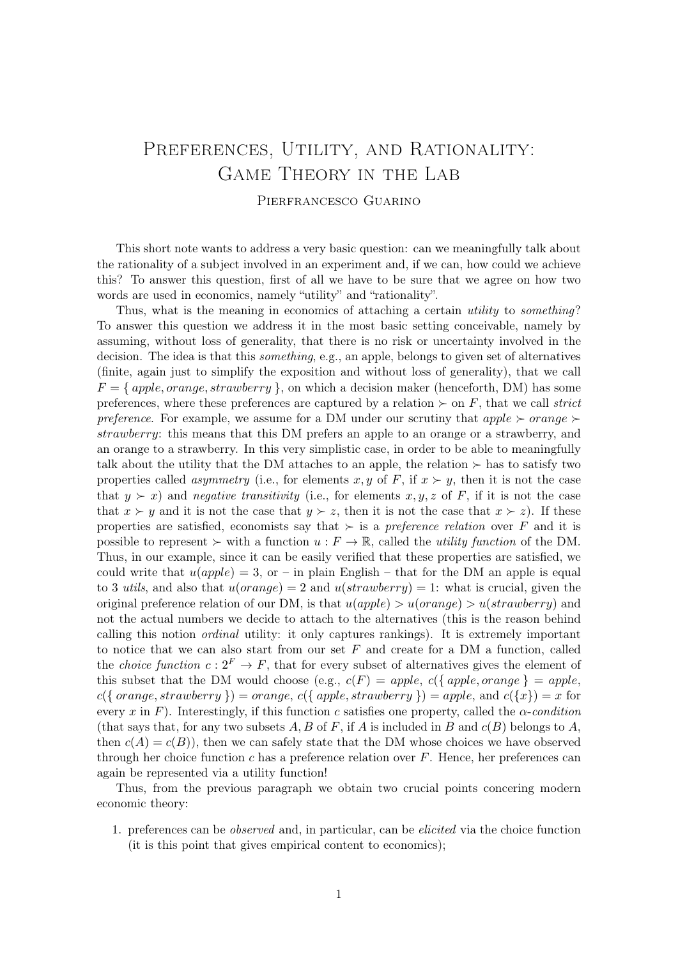## PREFERENCES, UTILITY, AND RATIONALITY: Game Theory in the Lab Pierfrancesco Guarino

This short note wants to address a very basic question: can we meaningfully talk about the rationality of a subject involved in an experiment and, if we can, how could we achieve this? To answer this question, first of all we have to be sure that we agree on how two words are used in economics, namely "utility" and "rationality".

Thus, what is the meaning in economics of attaching a certain *utility* to *something*? To answer this question we address it in the most basic setting conceivable, namely by assuming, without loss of generality, that there is no risk or uncertainty involved in the decision. The idea is that this *something*, e.g., an apple, belongs to given set of alternatives (finite, again just to simplify the exposition and without loss of generality), that we call  $F = \{ apple, orange, strategy \}$ , on which a decision maker (henceforth, DM) has some preferences, where these preferences are captured by a relation  $\succ$  on F, that we call strict preference. For example, we assume for a DM under our scrutiny that  $apple \succ orange \succ$ strawberry: this means that this DM prefers an apple to an orange or a strawberry, and an orange to a strawberry. In this very simplistic case, in order to be able to meaningfully talk about the utility that the DM attaches to an apple, the relation  $\succ$  has to satisfy two properties called *asymmetry* (i.e., for elements x, y of F, if  $x \succ y$ , then it is not the case that  $y \succ x$ ) and negative transitivity (i.e., for elements x, y, z of F, if it is not the case that  $x \succ y$  and it is not the case that  $y \succ z$ , then it is not the case that  $x \succ z$ ). If these properties are satisfied, economists say that  $\succ$  is a *preference relation* over F and it is possible to represent  $\succ$  with a function  $u : F \to \mathbb{R}$ , called the utility function of the DM. Thus, in our example, since it can be easily verified that these properties are satisfied, we could write that  $u(ap\nu) = 3$ , or – in plain English – that for the DM an apple is equal to 3 utils, and also that  $u(orange) = 2$  and  $u(strawberry) = 1$ : what is crucial, given the original preference relation of our DM, is that  $u(apple) > u(orange) > u(strawberry)$  and not the actual numbers we decide to attach to the alternatives (this is the reason behind calling this notion ordinal utility: it only captures rankings). It is extremely important to notice that we can also start from our set  $F$  and create for a DM a function, called the *choice function*  $c: 2^F \to F$ , that for every subset of alternatives gives the element of this subset that the DM would choose (e.g.,  $c(F) = apple$ ,  $c({\{ apple, orange\}} = apple)$  $c({\mathcal{S}orange,strawberry}) = orange, c({\mathcal{S}apple,strawberry}) = apple, and c({x}) = x$  for every x in F). Interestingly, if this function c satisfies one property, called the  $\alpha$ -condition (that says that, for any two subsets A, B of F, if A is included in B and  $c(B)$  belongs to A, then  $c(A) = c(B)$ , then we can safely state that the DM whose choices we have observed through her choice function c has a preference relation over  $F$ . Hence, her preferences can again be represented via a utility function!

Thus, from the previous paragraph we obtain two crucial points concering modern economic theory:

1. preferences can be observed and, in particular, can be elicited via the choice function (it is this point that gives empirical content to economics);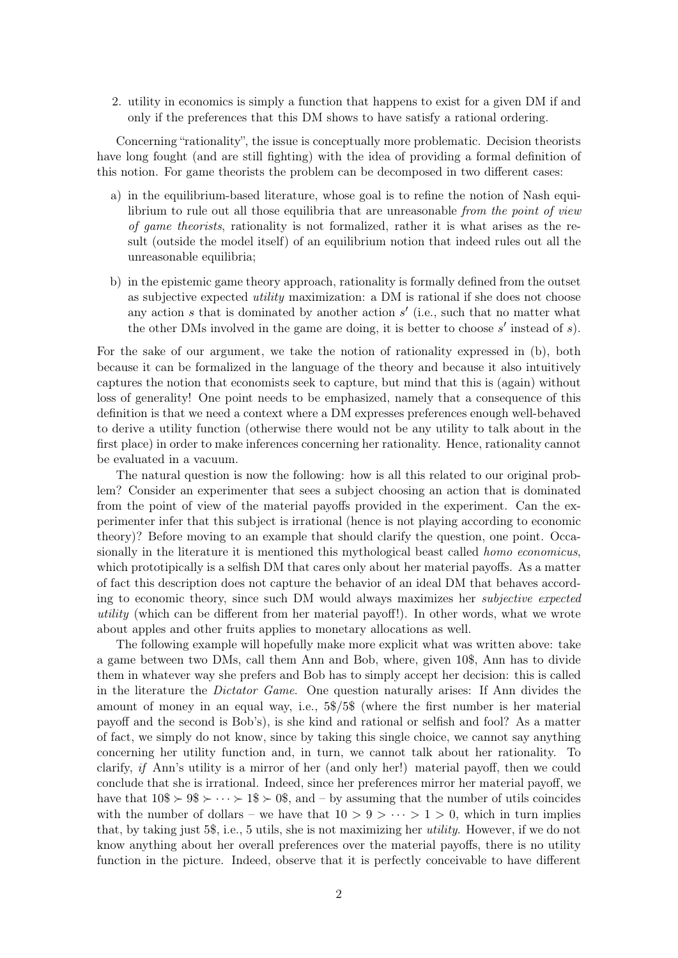2. utility in economics is simply a function that happens to exist for a given DM if and only if the preferences that this DM shows to have satisfy a rational ordering.

Concerning "rationality", the issue is conceptually more problematic. Decision theorists have long fought (and are still fighting) with the idea of providing a formal definition of this notion. For game theorists the problem can be decomposed in two different cases:

- a) in the equilibrium-based literature, whose goal is to refine the notion of Nash equilibrium to rule out all those equilibria that are unreasonable from the point of view of game theorists, rationality is not formalized, rather it is what arises as the result (outside the model itself) of an equilibrium notion that indeed rules out all the unreasonable equilibria;
- b) in the epistemic game theory approach, rationality is formally defined from the outset as subjective expected utility maximization: a DM is rational if she does not choose any action  $s$  that is dominated by another action  $s'$  (i.e., such that no matter what the other DMs involved in the game are doing, it is better to choose  $s'$  instead of  $s$ ).

For the sake of our argument, we take the notion of rationality expressed in (b), both because it can be formalized in the language of the theory and because it also intuitively captures the notion that economists seek to capture, but mind that this is (again) without loss of generality! One point needs to be emphasized, namely that a consequence of this definition is that we need a context where a DM expresses preferences enough well-behaved to derive a utility function (otherwise there would not be any utility to talk about in the first place) in order to make inferences concerning her rationality. Hence, rationality cannot be evaluated in a vacuum.

The natural question is now the following: how is all this related to our original problem? Consider an experimenter that sees a subject choosing an action that is dominated from the point of view of the material payoffs provided in the experiment. Can the experimenter infer that this subject is irrational (hence is not playing according to economic theory)? Before moving to an example that should clarify the question, one point. Occasionally in the literature it is mentioned this mythological beast called homo economicus, which prototipically is a selfish DM that cares only about her material payoffs. As a matter of fact this description does not capture the behavior of an ideal DM that behaves according to economic theory, since such DM would always maximizes her subjective expected utility (which can be different from her material payoff!). In other words, what we wrote about apples and other fruits applies to monetary allocations as well.

The following example will hopefully make more explicit what was written above: take a game between two DMs, call them Ann and Bob, where, given 10\$, Ann has to divide them in whatever way she prefers and Bob has to simply accept her decision: this is called in the literature the Dictator Game. One question naturally arises: If Ann divides the amount of money in an equal way, i.e., 5\$/5\$ (where the first number is her material payoff and the second is Bob's), is she kind and rational or selfish and fool? As a matter of fact, we simply do not know, since by taking this single choice, we cannot say anything concerning her utility function and, in turn, we cannot talk about her rationality. To clarify, if Ann's utility is a mirror of her (and only her!) material payoff, then we could conclude that she is irrational. Indeed, since her preferences mirror her material payoff, we have that  $10\% \succ 9\% \succ \cdots \succ 1\% \succ 0\%$ , and – by assuming that the number of utils coincides with the number of dollars – we have that  $10 > 9 > \cdots > 1 > 0$ , which in turn implies that, by taking just  $5\$ , i.e., 5 utils, she is not maximizing her *utility*. However, if we do not know anything about her overall preferences over the material payoffs, there is no utility function in the picture. Indeed, observe that it is perfectly conceivable to have different